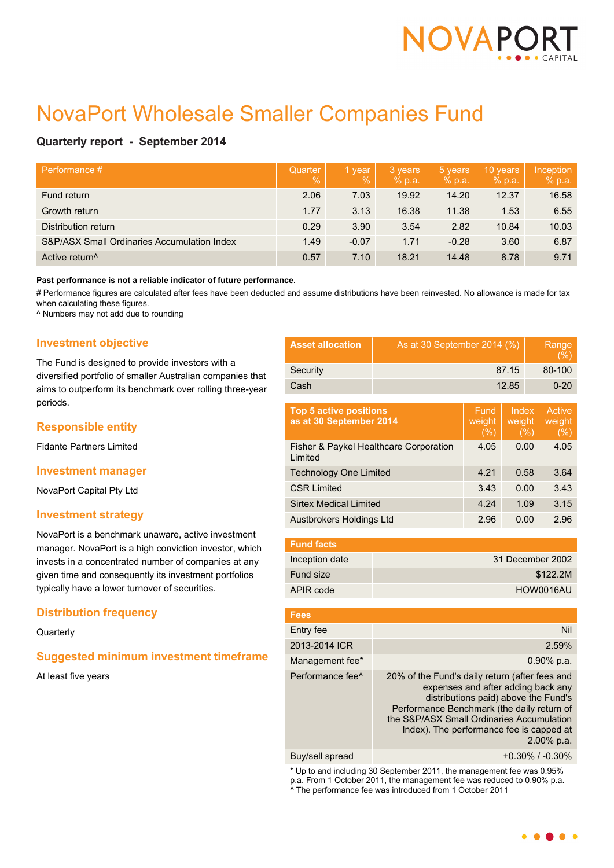

# NovaPort Wholesale Smaller Companies Fund

## **Quarterly report - September 2014**

| Performance #                               | Quarter<br>$\frac{0}{0}$ | 1 year<br>$\frac{9}{6}$ | 3 years<br>% p.a. | 5 years<br>% p.a. | 10 years<br>% p.a. | Inception<br>% p.a. |
|---------------------------------------------|--------------------------|-------------------------|-------------------|-------------------|--------------------|---------------------|
| Fund return                                 | 2.06                     | 7.03                    | 19.92             | 14.20             | 12.37              | 16.58               |
| Growth return                               | 1.77                     | 3.13                    | 16.38             | 11.38             | 1.53               | 6.55                |
| Distribution return                         | 0.29                     | 3.90                    | 3.54              | 2.82              | 10.84              | 10.03               |
| S&P/ASX Small Ordinaries Accumulation Index | 1.49                     | $-0.07$                 | 1.71              | $-0.28$           | 3.60               | 6.87                |
| Active return <sup>^</sup>                  | 0.57                     | 7.10                    | 18.21             | 14.48             | 8.78               | 9.71                |

#### **Past performance is not a reliable indicator of future performance.**

# Performance figures are calculated after fees have been deducted and assume distributions have been reinvested. No allowance is made for tax when calculating these figures.

^ Numbers may not add due to rounding

## **Investment objective**

The Fund is designed to provide investors with a diversified portfolio of smaller Australian companies that aims to outperform its benchmark over rolling three-year periods.

## **Responsible entity**

Fidante Partners Limited

#### **Investment manager**

NovaPort Capital Pty Ltd

## **Investment strategy**

NovaPort is a benchmark unaware, active investment manager. NovaPort is a high conviction investor, which invests in a concentrated number of companies at any given time and consequently its investment portfolios typically have a lower turnover of securities.

## **Distribution frequency**

## **Quarterly**

## **Suggested minimum investment timeframe**

At least five years

| <b>Asset allocation</b> | As at 30 September 2014 (%) | Range<br>(%) |
|-------------------------|-----------------------------|--------------|
| Security                | 87.15                       | 80-100       |
| Cash                    | 12.85                       | $0 - 20$     |

| <b>Top 5 active positions</b><br>as at 30 September 2014 | Fund<br>weight<br>(% ) | Index<br>weight<br>(%) | Active<br>weight<br>(% ) |
|----------------------------------------------------------|------------------------|------------------------|--------------------------|
| Fisher & Paykel Healthcare Corporation<br>Limited        | 4.05                   | 0.00                   | 4.05                     |
| <b>Technology One Limited</b>                            | 4.21                   | 0.58                   | 3.64                     |
| <b>CSR Limited</b>                                       | 3.43                   | 0.00                   | 3.43                     |
| <b>Sirtex Medical Limited</b>                            | 4.24                   | 1.09                   | 3.15                     |
| Austbrokers Holdings Ltd                                 | 2.96                   | 0.00                   | 2.96                     |

| <b>Fund facts</b> |                  |
|-------------------|------------------|
| Inception date    | 31 December 2002 |
| Fund size         | \$122.2M         |
| APIR code         | HOW0016AU        |

| <b>Fees</b>                  |                                                                                                                                                                                                                                                                                   |
|------------------------------|-----------------------------------------------------------------------------------------------------------------------------------------------------------------------------------------------------------------------------------------------------------------------------------|
| Entry fee                    | Nil                                                                                                                                                                                                                                                                               |
| 2013-2014 ICR                | 2.59%                                                                                                                                                                                                                                                                             |
| Management fee*              | $0.90\%$ p.a.                                                                                                                                                                                                                                                                     |
| Performance fee <sup>^</sup> | 20% of the Fund's daily return (after fees and<br>expenses and after adding back any<br>distributions paid) above the Fund's<br>Performance Benchmark (the daily return of<br>the S&P/ASX Small Ordinaries Accumulation<br>Index). The performance fee is capped at<br>2.00% p.a. |
| Buy/sell spread              | $+0.30\%$ / $-0.30\%$                                                                                                                                                                                                                                                             |

\* Up to and including 30 September 2011, the management fee was 0.95% p.a. From 1 October 2011, the management fee was reduced to 0.90% p.a. ^ The performance fee was introduced from 1 October 2011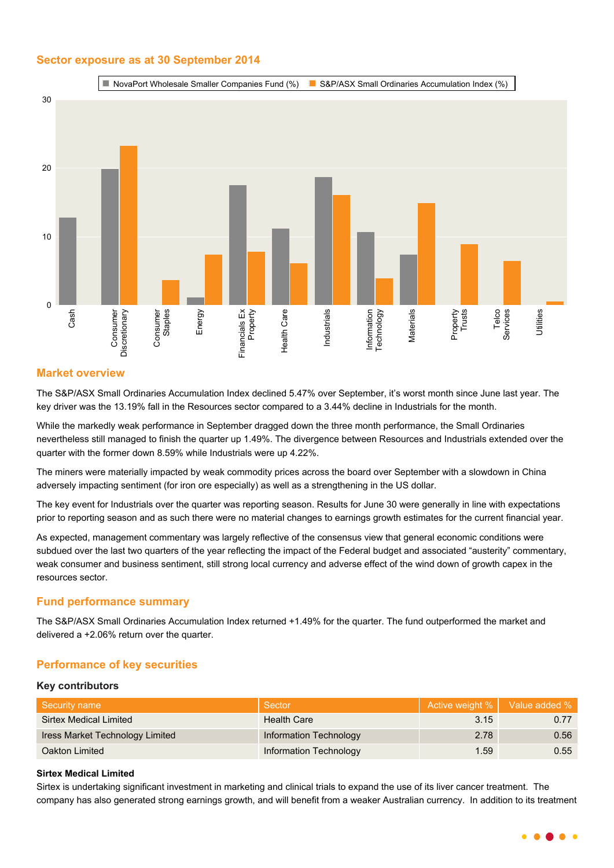## **Sector exposure as at 30 September 2014**



## **Market overview**

The S&P/ASX Small Ordinaries Accumulation Index declined 5.47% over September, it's worst month since June last year. The key driver was the 13.19% fall in the Resources sector compared to a 3.44% decline in Industrials for the month.

While the markedly weak performance in September dragged down the three month performance, the Small Ordinaries nevertheless still managed to finish the quarter up 1.49%. The divergence between Resources and Industrials extended over the quarter with the former down 8.59% while Industrials were up 4.22%.

The miners were materially impacted by weak commodity prices across the board over September with a slowdown in China adversely impacting sentiment (for iron ore especially) as well as a strengthening in the US dollar.

The key event for Industrials over the quarter was reporting season. Results for June 30 were generally in line with expectations prior to reporting season and as such there were no material changes to earnings growth estimates for the current financial year.

As expected, management commentary was largely reflective of the consensus view that general economic conditions were subdued over the last two quarters of the year reflecting the impact of the Federal budget and associated "austerity" commentary, weak consumer and business sentiment, still strong local currency and adverse effect of the wind down of growth capex in the resources sector.

## **Fund performance summary**

The S&P/ASX Small Ordinaries Accumulation Index returned +1.49% for the quarter. The fund outperformed the market and delivered a +2.06% return over the quarter.

## **Performance of key securities**

#### **Key contributors**

| Security name                   | Sector                 |      | Active weight %   Value added % |
|---------------------------------|------------------------|------|---------------------------------|
| Sirtex Medical Limited          | Health Care            | 3.15 | 0.77                            |
| Iress Market Technology Limited | Information Technology | 2.78 | 0.56                            |
| Oakton Limited                  | Information Technology | 1.59 | 0.55                            |

## **Sirtex Medical Limited**

Sirtex is undertaking significant investment in marketing and clinical trials to expand the use of its liver cancer treatment. The company has also generated strong earnings growth, and will benefit from a weaker Australian currency. In addition to its treatment